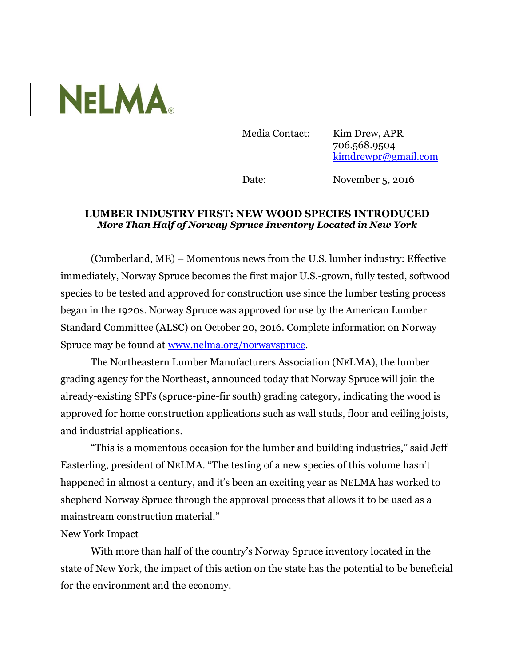

Media Contact: Kim Drew, APR 706.568.9504 [kimdrewpr@gmail.com](mailto:kimdrewpr@gmail.com)

Date: November 5, 2016

## **LUMBER INDUSTRY FIRST: NEW WOOD SPECIES INTRODUCED** *More Than Half of Norway Spruce Inventory Located in New York*

(Cumberland, ME) – Momentous news from the U.S. lumber industry: Effective immediately, Norway Spruce becomes the first major U.S.-grown, fully tested, softwood species to be tested and approved for construction use since the lumber testing process began in the 1920s. Norway Spruce was approved for use by the American Lumber Standard Committee (ALSC) on October 20, 2016. Complete information on Norway Spruce may be found at [www.nelma.org/norwayspruce.](http://www.nelma.org/norwayspruce)

The Northeastern Lumber Manufacturers Association (NELMA), the lumber grading agency for the Northeast, announced today that Norway Spruce will join the already-existing SPFs (spruce-pine-fir south) grading category, indicating the wood is approved for home construction applications such as wall studs, floor and ceiling joists, and industrial applications.

"This is a momentous occasion for the lumber and building industries," said Jeff Easterling, president of NELMA. "The testing of a new species of this volume hasn't happened in almost a century, and it's been an exciting year as NELMA has worked to shepherd Norway Spruce through the approval process that allows it to be used as a mainstream construction material."

## New York Impact

With more than half of the country's Norway Spruce inventory located in the state of New York, the impact of this action on the state has the potential to be beneficial for the environment and the economy.